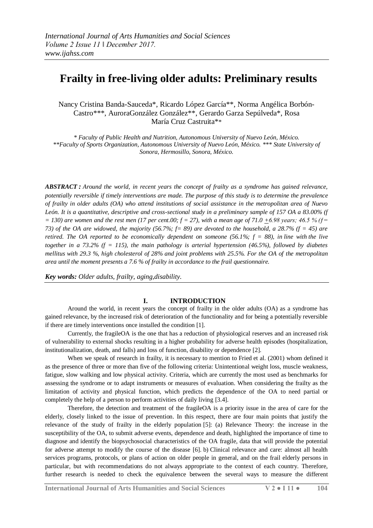# **Frailty in free-living older adults: Preliminary results**

Nancy Cristina Banda-Sauceda\*, Ricardo López García\*\*, Norma Angélica Borbón-Castro\*\*\*, AuroraGonzález González\*\*, Gerardo Garza Sepúlveda\*, Rosa María Cruz Castruita\*\*

*\* Faculty of Public Health and Nutrition, Autonomous University of Nuevo León, México. \*\*Faculty of Sports Organization, Autonomous University of Nuevo León, México. \*\*\* State University of Sonora, Hermosillo, Sonora, México.*

*ABSTRACT : Around the world, in recent years the concept of frailty as a syndrome has gained relevance, potentially reversible if timely interventions are made. The purpose of this study is to determine the prevalence of frailty in older adults (OA) who attend institutions of social assistance in the metropolitan area of Nuevo León. It is a quantitative, descriptive and cross-sectional study in a preliminary sample of 157 OA a 83.00% (f*   $= 130$ ) are women and the rest men (17 per cent.00;  $f = 27$ ), with a mean age of 71.0 +6.98 years; 46.5 % ( $f = 130$ ) *73) of the OA are widowed, the majority (56.7%; f= 89) are devoted to the household, a 28.7% (f = 45) are retired. The OA reported to be economically dependent on someone (56.1%; f = 88), in line with the live together in a 73.2% (f = 115), the main pathology is arterial hypertension (46.5%), followed by diabetes mellitus with 29.3 %, high cholesterol of 28% and joint problems with 25.5%. For the OA of the metropolitan area until the moment presents a 7.6 % of frailty in accordance to the frail questionnaire.*

*Key words: Older adults, frailty, aging,disability.*

## **I. INTRODUCTION**

Around the world, in recent years the concept of frailty in the older adults (OA) as a syndrome has gained relevance, by the increased risk of deterioration of the functionality and for being a potentially reversible if there are timely interventions once installed the condition [1].

Currently, the fragileOA is the one that has a reduction of physiological reserves and an increased risk of vulnerability to external shocks resulting in a higher probability for adverse health episodes (hospitalization, institutionalization, death, and falls) and loss of function, disability or dependence [2].

When we speak of research in frailty, it is necessary to mention to Fried et al. (2001) whom defined it as the presence of three or more than five of the following criteria: Unintentional weight loss, muscle weakness, fatigue, slow walking and low physical activity. Criteria, which are currently the most used as benchmarks for assessing the syndrome or to adapt instruments or measures of evaluation. When considering the frailty as the limitation of activity and physical function, which predicts the dependence of the OA to need partial or completely the help of a person to perform activities of daily living [3.4].

Therefore, the detection and treatment of the fragileOA is a priority issue in the area of care for the elderly, closely linked to the issue of prevention. In this respect, there are four main points that justify the relevance of the study of frailty in the elderly population [5]: (a) Relevance Theory: the increase in the susceptibility of the OA, to submit adverse events, dependence and death, highlighted the importance of time to diagnose and identify the biopsychosocial characteristics of the OA fragile, data that will provide the potential for adverse attempt to modify the course of the disease [6]. b) Clinical relevance and care: almost all health services programs, protocols, or plans of action on older people in general, and on the frail elderly persons in particular, but with recommendations do not always appropriate to the context of each country. Therefore, further research is needed to check the equivalence between the several ways to measure the different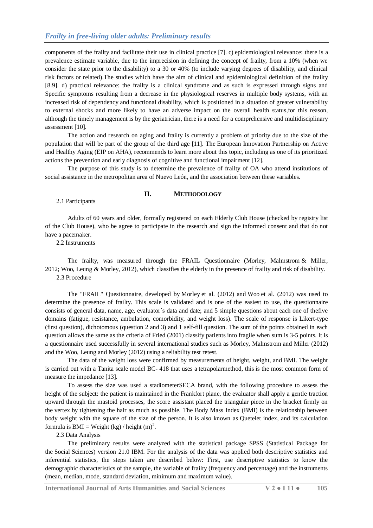components of the frailty and facilitate their use in clinical practice [7]. c) epidemiological relevance: there is a prevalence estimate variable, due to the imprecision in defining the concept of frailty, from a 10% (when we consider the state prior to the disability) to a 30 or 40% (to include varying degrees of disability, and clinical risk factors or related).The studies which have the aim of clinical and epidemiological definition of the frailty [8.9]. d) practical relevance: the frailty is a clinical syndrome and as such is expressed through signs and Specific symptoms resulting from a decrease in the physiological reserves in multiple body systems, with an increased risk of dependency and functional disability, which is positioned in a situation of greater vulnerability to external shocks and more likely to have an adverse impact on the overall health status,for this reason, although the timely management is by the geriatrician, there is a need for a comprehensive and multidisciplinary assessment [10].

The action and research on aging and frailty is currently a problem of priority due to the size of the population that will be part of the group of the third age [11]. The European Innovation Partnership on Active and Healthy Aging (EIP on AHA), recommends to learn more about this topic, including as one of its prioritized actions the prevention and early diagnosis of cognitive and functional impairment [12].

The purpose of this study is to determine the prevalence of frailty of OA who attend institutions of social assistance in the metropolitan area of Nuevo León, and the association between these variables.

### **II. METHODOLOGY**

2.1 Participants

Adults of 60 years and older, formally registered on each Elderly Club House (checked by registry list of the Club House), who be agree to participate in the research and sign the informed consent and that do not have a pacemaker.

2.2 Instruments

The frailty, was measured through the FRAIL Questionnaire (Morley, Malmstrom & Miller, 2012; Woo, Leung & Morley, 2012), which classifies the elderly in the presence of frailty and risk of disability. 2.3 Procedure

The "FRAIL" Questionnaire, developed by Morley et al. (2012) and Woo et al. (2012) was used to determine the presence of frailty. This scale is validated and is one of the easiest to use, the questionnaire consists of general data, name, age, evaluator´s data and date; and 5 simple questions about each one of thefive domains (fatigue, resistance, ambulation, comorbidity, and weight loss). The scale of response is Likert-type (first question), dichotomous (question 2 and 3) and 1 self-fill question. The sum of the points obtained in each question allows the same as the criteria of Fried (2001) classify patients into fragile when sum is 3-5 points. It is a questionnaire used successfully in several international studies such as Morley, Malmstrom and Miller (2012) and the Woo, Leung and Morley (2012) using a reliability test retest.

The data of the weight loss were confirmed by measurements of height, weight, and BMI. The weight is carried out with a Tanita scale model BC- 418 that uses a tetrapolarmethod, this is the most common form of measure the impedance [13].

To assess the size was used a stadiometerSECA brand, with the following procedure to assess the height of the subject: the patient is maintained in the Frankfort plane, the evaluator shall apply a gentle traction upward through the mastoid processes, the score assistant placed the triangular piece in the bracket firmly on the vertex by tightening the hair as much as possible. The Body Mass Index (BMI) is the relationship between body weight with the square of the size of the person. It is also known as Quetelet index, and its calculation formula is BMI = Weight (kg) / height  $(m)^2$ .

2.3 Data Analysis

The preliminary results were analyzed with the statistical package SPSS (Statistical Package for the Social Sciences) version 21.0 IBM. For the analysis of the data was applied both descriptive statistics and inferential statistics, the steps taken are described below: First, use descriptive statistics to know the demographic characteristics of the sample, the variable of frailty (frequency and percentage) and the instruments (mean, median, mode, standard deviation, minimum and maximum value).

**International Journal of Arts Humanities and Social Sciences V 2 ● I 11 ● 105**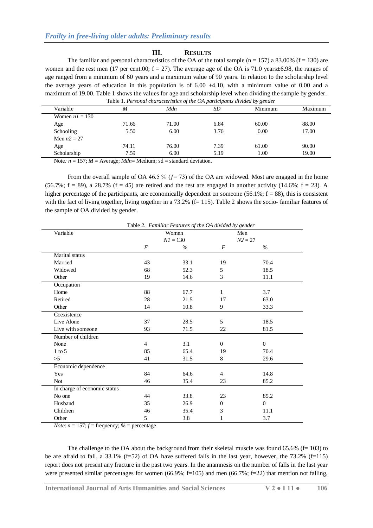#### **III. RESULTS**

The familiar and personal characteristics of the OA of the total sample ( $n = 157$ ) a 83.00% ( $f = 130$ ) are women and the rest men (17 per cent.00;  $f = 27$ ). The average age of the OA is 71.0 years $\pm$ 6.98, the ranges of age ranged from a minimum of 60 years and a maximum value of 90 years. In relation to the scholarship level the average years of education in this population is of 6.00  $\pm$ 4.10, with a minimum value of 0.00 and a maximum of 19.00. Table 1 shows the values for age and scholarship level when dividing the sample by gender. Table 1. *Personal characteristics of the OA participants divided by gender*

| Variable         | M     | Mdn   | SD   | Minimum | Maximum |
|------------------|-------|-------|------|---------|---------|
| Women $nI = 130$ |       |       |      |         |         |
| Age              | 71.66 | 71.00 | 6.84 | 60.00   | 88.00   |
| Schooling        | 5.50  | 6.00  | 3.76 | 0.00    | 17.00   |
| Men $n2 = 27$    |       |       |      |         |         |
| Age              | 74.11 | 76.00 | 7.39 | 61.00   | 90.00   |
| Scholarship      | 7.59  | 6.00  | 5.19 | 1.00    | 19.00   |

Note:  $n = 157$ ;  $M =$  Average;  $Mdn =$  Medium; sd = standard deviation.

From the overall sample of OA 46.5 %  $(f= 73)$  of the OA are widowed. Most are engaged in the home (56.7%;  $f = 89$ ), a 28.7% ( $f = 45$ ) are retired and the rest are engaged in another activity (14.6%;  $f = 23$ ). A higher percentage of the participants, are economically dependent on someone (56.1%;  $f = 88$ ), this is consistent with the fact of living together, living together in a 73.2% (f= 115). Table 2 shows the socio- familiar features of the sample of OA divided by gender.

|                              | Table 2. Familiar Features of the OA divided by gender |       |                  |              |  |
|------------------------------|--------------------------------------------------------|-------|------------------|--------------|--|
| Variable                     |                                                        | Women | Men              |              |  |
|                              | $NI = 130$                                             |       |                  | $N2 = 27$    |  |
|                              | F                                                      | $\%$  | $\boldsymbol{F}$ | $\%$         |  |
| Marital status               |                                                        |       |                  |              |  |
| Married                      | 43                                                     | 33.1  | 19               | 70.4         |  |
| Widowed                      | 68                                                     | 52.3  | 5                | 18.5         |  |
| Other                        | 19                                                     | 14.6  | 3                | 11.1         |  |
| Occupation                   |                                                        |       |                  |              |  |
| Home                         | 88                                                     | 67.7  | 1                | 3.7          |  |
| Retired                      | 28                                                     | 21.5  | 17               | 63.0         |  |
| Other                        | 14                                                     | 10.8  | 9                | 33.3         |  |
| Coexistence                  |                                                        |       |                  |              |  |
| Live Alone                   | 37                                                     | 28.5  | 5                | 18.5         |  |
| Live with someone            | 93                                                     | 71.5  | 22               | 81.5         |  |
| Number of children           |                                                        |       |                  |              |  |
| None                         | $\overline{4}$                                         | 3.1   | $\overline{0}$   | $\mathbf{0}$ |  |
| $1$ to 5                     | 85                                                     | 65.4  | 19               | 70.4         |  |
| >5                           | 41                                                     | 31.5  | 8                | 29.6         |  |
| Economic dependence          |                                                        |       |                  |              |  |
| Yes                          | 84                                                     | 64.6  | $\overline{4}$   | 14.8         |  |
| Not                          | 46                                                     | 35.4  | 23               | 85.2         |  |
| In charge of economic status |                                                        |       |                  |              |  |
| No one                       | 44                                                     | 33.8  | 23               | 85.2         |  |
| Husband                      | 35                                                     | 26.9  | $\Omega$         | $\Omega$     |  |
| Children                     | 46                                                     | 35.4  | 3                | 11.1         |  |
| Other                        | 5                                                      | 3.8   | 1                | 3.7          |  |

*Note*:  $n = 157$ ;  $f = \text{frequency}$ ;  $\% = \text{percentage}$ 

The challenge to the OA about the background from their skeletal muscle was found 65.6% (f= 103) to be are afraid to fall, a  $33.1\%$  (f=52) of OA have suffered falls in the last year, however, the 73.2% (f=115) report does not present any fracture in the past two years. In the anamnesis on the number of falls in the last year were presented similar percentages for women (66.9%; f=105) and men (66.7%; f=22) that mention not falling,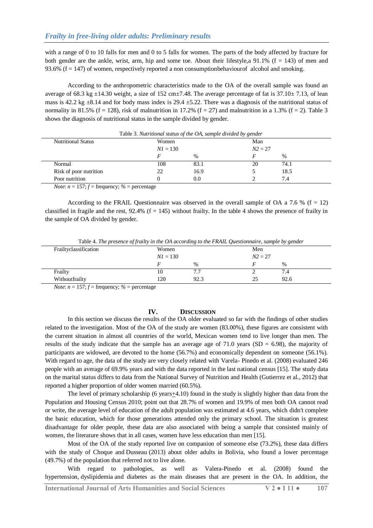with a range of 0 to 10 falls for men and 0 to 5 falls for women. The parts of the body affected by fracture for both gender are the ankle, wrist, arm, hip and some toe. About their lifestyle, a  $91.1\%$  (f = 143) of men and 93.6%  $(f = 147)$  of women, respectively reported a non consumptionbehaviour f alcohol and smoking.

According to the anthropometric characteristics made to the OA of the overall sample was found an average of 68.3 kg  $\pm$ 14.30 weight, a size of 152 cm $\pm$ 7.48. The average percentage of fat is 37.10 $\pm$  7.13, of lean mass is 42.2 kg  $\pm$ 8.14 and for body mass index is 29.4  $\pm$ 5.22. There was a diagnosis of the nutritional status of normality in 81.5% (f = 128), risk of malnutrition in 17.2% (f = 27) and malnutrition in a 1.3% (f = 2). Table 3 shows the diagnosis of nutritional status in the sample divided by gender.

|                           | Table 3. Nutritional status of the OA, sample divided by gender |      |     |               |
|---------------------------|-----------------------------------------------------------------|------|-----|---------------|
| <b>Nutritional Status</b> | Women                                                           |      | Man |               |
|                           | $NI = 130$                                                      |      |     | $N2 = 27$     |
|                           |                                                                 | $\%$ |     | $\frac{0}{0}$ |
| Normal                    | 108                                                             | 83.1 | 20  | 74.1          |
| Risk of poor nutrition    | 22                                                              | 16.9 |     | 18.5          |
| Poor nutrition            |                                                                 | 0.0  |     | 7.4           |

*Note*:  $n = 157$ ;  $f = \text{frequency}$ ; % = percentage

According to the FRAIL Questionnaire was observed in the overall sample of OA a 7.6 % ( $f = 12$ ) classified in fragile and the rest,  $92.4\%$  (f = 145) without frailty. In the table 4 shows the presence of frailty in the sample of OA divided by gender.

Table 4. *The presence of frailty in the OA according to the FRAIL Questionnaire, sample by gender*

| Frailtyclassification | Women      |      | Men       |         |  |
|-----------------------|------------|------|-----------|---------|--|
|                       | $NI = 130$ |      | $N2 = 27$ |         |  |
|                       |            | $\%$ |           | %       |  |
| Frailty               | 10         | 7.7  |           | ⇁<br>4. |  |
| Withoutfrailty        | 120        | 92.3 |           | 92.6    |  |

*Note*:  $n = 157$ ;  $f = \text{frequency}$ ;  $\% = \text{percentage}$ 

### **IV. DISCUSSION**

In this section we discuss the results of the OA older evaluated so far with the findings of other studies related to the investigation. Most of the OA of the study are women (83.00%), these figures are consistent with the current situation in almost all countries of the world, Mexican women tend to live longer than men. The results of the study indicate that the sample has an average age of 71.0 years (SD =  $6.98$ ), the majority of participants are widowed, are devoted to the home (56.7%) and economically dependent on someone (56.1%). With regard to age, the data of the study are very closely related with Varela- Pinedo et al. (2008) evaluated 246 people with an average of 69.9% years and with the data reported in the last national census [15]. The study data on the marital status differs to data from the National Survey of Nutrition and Health (Gutierrez et al., 2012) that reported a higher proportion of older women married (60.5%).

The level of primary scholarship (6 years+4.10) found in the study is slightly higher than data from the Population and Housing Census 2010; point out that 28.7% of women and 19.9% of men both OA cannot read or write, the average level of education of the adult population was estimated at 4.6 years, which didn't complete the basic education, which for those generations attended only the primary school. The situation is greatest disadvantage for older people, these data are also associated with being a sample that consisted mainly of women, the literature shows that in all cases, women have less education than men [15].

Most of the OA of the study reported live on companion of someone else (73.2%), these data differs with the study of Choque and Dusseau (2013) about older adults in Bolivia, who found a lower percentage (49.7%) of the population that referred not to live alone.

With regard to pathologies, as well as Valera-Pinedo et al. (2008) found the hypertension, dyslipidemia and diabetes as the main diseases that are present in the OA. In addition, the

**International Journal of Arts Humanities and Social Sciences V 2 ● I 11 ● 107**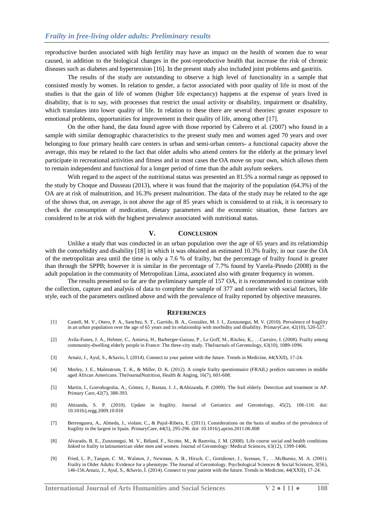reproductive burden associated with high fertility may have an impact on the health of women due to wear caused, in addition to the biological changes in the post-reproductive health that increase the risk of chronic diseases such as diabetes and hypertension [16]. In the present study also included joint problems and gastritis.

The results of the study are outstanding to observe a high level of functionality in a sample that consisted mostly by women. In relation to gender, a factor associated with poor quality of life in most of the studies is that the gain of life of women (higher life expectancy) happens at the expense of years lived in disability, that is to say, with processes that restrict the usual activity or disability, impairment or disability, which translates into lower quality of life. In relation to these there are several theories: greater exposure to emotional problems, opportunities for improvement in their quality of life, among other [17].

On the other hand, the data found agree with those reported by Cabrero et al. (2007) who found in a sample with similar demographic characteristics to the present study men and women aged 70 years and over belonging to four primary health care centers in urban and semi-urban centers- a functional capacity above the average, this may be related to the fact that older adults who attend centers for the elderly at the primary level participate in recreational activities and fitness and in most cases the OA move on your own, which allows them to remain independent and functional for a longer period of time than the adult asylum seekers.

With regard to the aspect of the nutritional status was presented an 81.5% a normal range as opposed to the study by Choque and Dusseau (2013), where it was found that the majority of the population (64.3%) of the OA are at risk of malnutrition, and 16.3% present malnutrition. The data of the study may be related to the age of the shows that, on average, is not above the age of 85 years which is considered to at risk, it is necessary to check the consumption of medication, dietary parameters and the economic situation, these factors are considered to be at risk with the highest prevalence associated with nutritional status.

#### **V. CONCLUSION**

Unlike a study that was conducted in an urban population over the age of 65 years and its relationship with the comorbidity and disability [18] in which it was obtained an estimated 10.3% frailty, in our case the OA of the metropolitan area until the time is only a 7.6 % of frailty, but the percentage of frailty found is greater than through the SPPB; however it is similar in the percentage of 7.7% found by Varela-Pinedo (2008) in the adult population in the community of Metropolitan Lima, associated also with greater frequency in women.

The results presented so far are the preliminary sample of 157 OA, it is recommended to continue with the collection, capture and analysis of data to complete the sample of 377 and correlate with social factors, life style, each of the parameters outlined above and with the prevalence of frailty reported by objective measures.

#### **REFERENCES**

- [1] Castell, M. V., Otero, P. A., Sanchez, S. T., Garrido, B. A., González, M. J. I., Zunzunegui, M. V. (2010). Prevalence of fragility in an urban population over the age of 65 years and its relationship with morbidity and disability. PrimaryCare, 42(10), 520-527.
- [2] Avila-Funes, J. A., Helmer, C., Amieva, H., Barberger-Gateau, P., Le Goff, M., Ritchie, K., …Carrière, I. (2008). Frailty among community-dwelling elderly people in France: The three-city study. TheJournals of Gerontology, 63(10), 1089-1096.
- [3] Arnaiz, J., Ayul, S., &Savio, Ì. (2014). Connect to your patient with the future. Trends in Medicine, 44(XXII), 17-24.
- [4] Morley, J. E., Malmstrom, T. K., & Miller, D. K. (2012). A simple frailty questionnaire (FRAIL) predicts outcomes in middle aged African Americans. TheJournalNutrition, Health & Anging, 16(7), 601-608.
- [5] Martin, I., Gorroñogoitia, A., Gómez, J., Baztan, J. J., &Abizanda, P. (2009). The frail elderly. Detection and treatment in AP. Primary Care, 42(7), 388-393.
- [6] Abizanda, S. P. (2010). Update in fragility. Journal of Geriatrics and Gerontology, 45(2), 106-110. doi: 10.1016/j.regg.2009.10.010
- [7] Berrenguera, A., Almeda, J., violate, C., & Pujol-Ribera, E. (2011). Considerations on the basis of studies of the prevalence of fragility in the largest in Spain. PrimaryCare, 44(5), 295-296. doi: 10.1016/j.aprim.2011.06.008
- [8] Alvarado, B. E., Zunzunegui, M. V., Béland, F., Sicotte, M., & Bamvita, J. M. (2008). Life course social and health conditions linked to frailty in latinamerican older men and women. Journal of Gerontology: Medical Sciences, 63(12), 1399-1406.
- [9] Fried, L. P., Tangen, C. M., Walston, J., Newman, A. B., Hirsch, C., Gottdiener, J., Seeman, T., …McBurnie, M. A. (2001). Frailty in Older Adults: Evidence for a phenotype. The Journal of Gerontology. Psychological Sciences & Social Sciences, 3(56), 146-156.Arnaiz, J., Ayul, S., &Savio, Ì. (2014). Connect to your patient with the future. Trends in Medicine, 44(XXII), 17-24.